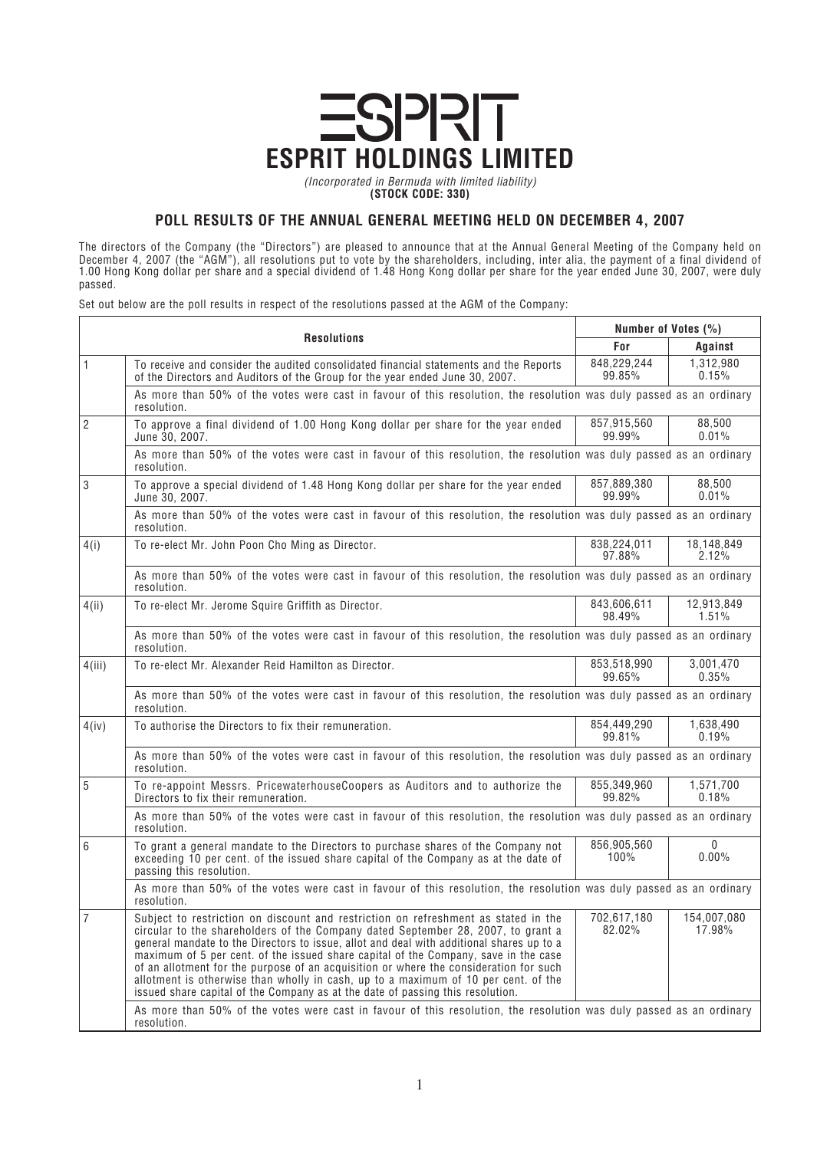

**(STOCK CODE: 330)**

## **POLL RESULTS OF THE ANNUAL GENERAL MEETING HELD ON DECEMBER 4, 2007**

*The directors of the Company (the "Directors") are pleased to announce that at the Annual General Meeting of the Company held on December 4, 2007 (the "AGM"), all resolutions put to vote by the shareholders, including, inter alia, the payment of a final dividend of 1.00 Hong Kong dollar per share and a special dividend of 1.48 Hong Kong dollar per share for the year ended June 30, 2007, were duly passed.*

*Set out below are the poll results in respect of the resolutions passed at the AGM of the Company:*

| <b>Resolutions</b> |                                                                                                                                                                                                                                                                                                                                                                                                                                                                                                                                                                                                                            | Number of Votes (%)   |                       |
|--------------------|----------------------------------------------------------------------------------------------------------------------------------------------------------------------------------------------------------------------------------------------------------------------------------------------------------------------------------------------------------------------------------------------------------------------------------------------------------------------------------------------------------------------------------------------------------------------------------------------------------------------------|-----------------------|-----------------------|
|                    |                                                                                                                                                                                                                                                                                                                                                                                                                                                                                                                                                                                                                            | For                   | Against               |
| $\mathbf{1}$       | To receive and consider the audited consolidated financial statements and the Reports<br>of the Directors and Auditors of the Group for the year ended June 30, 2007.                                                                                                                                                                                                                                                                                                                                                                                                                                                      | 848,229,244<br>99.85% | 1,312,980<br>0.15%    |
|                    | As more than 50% of the votes were cast in favour of this resolution, the resolution was duly passed as an ordinary<br>resolution.                                                                                                                                                                                                                                                                                                                                                                                                                                                                                         |                       |                       |
| $\overline{2}$     | To approve a final dividend of 1.00 Hong Kong dollar per share for the year ended<br>June 30, 2007.                                                                                                                                                                                                                                                                                                                                                                                                                                                                                                                        | 857,915,560<br>99.99% | 88,500<br>0.01%       |
|                    | As more than 50% of the votes were cast in favour of this resolution, the resolution was duly passed as an ordinary<br>resolution.                                                                                                                                                                                                                                                                                                                                                                                                                                                                                         |                       |                       |
| 3                  | To approve a special dividend of 1.48 Hong Kong dollar per share for the year ended<br>June 30, 2007.                                                                                                                                                                                                                                                                                                                                                                                                                                                                                                                      | 857,889,380<br>99.99% | 88,500<br>0.01%       |
|                    | As more than 50% of the votes were cast in favour of this resolution, the resolution was duly passed as an ordinary<br>resolution.                                                                                                                                                                                                                                                                                                                                                                                                                                                                                         |                       |                       |
| 4(i)               | To re-elect Mr. John Poon Cho Ming as Director.                                                                                                                                                                                                                                                                                                                                                                                                                                                                                                                                                                            | 838,224,011<br>97.88% | 18,148,849<br>2.12%   |
|                    | As more than 50% of the votes were cast in favour of this resolution, the resolution was duly passed as an ordinary<br>resolution.                                                                                                                                                                                                                                                                                                                                                                                                                                                                                         |                       |                       |
| 4(ii)              | To re-elect Mr. Jerome Squire Griffith as Director.                                                                                                                                                                                                                                                                                                                                                                                                                                                                                                                                                                        | 843,606,611<br>98.49% | 12,913,849<br>1.51%   |
|                    | As more than 50% of the votes were cast in favour of this resolution, the resolution was duly passed as an ordinary<br>resolution.                                                                                                                                                                                                                                                                                                                                                                                                                                                                                         |                       |                       |
| 4(iii)             | To re-elect Mr. Alexander Reid Hamilton as Director.                                                                                                                                                                                                                                                                                                                                                                                                                                                                                                                                                                       | 853,518,990<br>99.65% | 3,001,470<br>$0.35\%$ |
|                    | As more than 50% of the votes were cast in favour of this resolution, the resolution was duly passed as an ordinary<br>resolution.                                                                                                                                                                                                                                                                                                                                                                                                                                                                                         |                       |                       |
| 4(iv)              | To authorise the Directors to fix their remuneration.                                                                                                                                                                                                                                                                                                                                                                                                                                                                                                                                                                      | 854,449,290<br>99.81% | 1,638,490<br>$0.19\%$ |
|                    | As more than 50% of the votes were cast in favour of this resolution, the resolution was duly passed as an ordinary<br>resolution.                                                                                                                                                                                                                                                                                                                                                                                                                                                                                         |                       |                       |
| 5                  | To re-appoint Messrs. PricewaterhouseCoopers as Auditors and to authorize the<br>Directors to fix their remuneration.                                                                                                                                                                                                                                                                                                                                                                                                                                                                                                      | 855,349,960<br>99.82% | 1,571,700<br>0.18%    |
|                    | As more than 50% of the votes were cast in favour of this resolution, the resolution was duly passed as an ordinary<br>resolution.                                                                                                                                                                                                                                                                                                                                                                                                                                                                                         |                       |                       |
| 6                  | To grant a general mandate to the Directors to purchase shares of the Company not<br>exceeding 10 per cent. of the issued share capital of the Company as at the date of<br>passing this resolution.                                                                                                                                                                                                                                                                                                                                                                                                                       | 856,905,560<br>100%   | $\mathbf{0}$<br>0.00% |
|                    | As more than 50% of the votes were cast in favour of this resolution, the resolution was duly passed as an ordinary<br>resolution.                                                                                                                                                                                                                                                                                                                                                                                                                                                                                         |                       |                       |
| $\overline{7}$     | Subject to restriction on discount and restriction on refreshment as stated in the<br>circular to the shareholders of the Company dated September 28, 2007, to grant a<br>general mandate to the Directors to issue, allot and deal with additional shares up to a<br>maximum of 5 per cent. of the issued share capital of the Company, save in the case<br>of an allotment for the purpose of an acquisition or where the consideration for such<br>allotment is otherwise than wholly in cash, up to a maximum of 10 per cent. of the<br>issued share capital of the Company as at the date of passing this resolution. | 702,617,180<br>82.02% | 154,007,080<br>17.98% |
|                    | As more than 50% of the votes were cast in favour of this resolution, the resolution was duly passed as an ordinary<br>resolution.                                                                                                                                                                                                                                                                                                                                                                                                                                                                                         |                       |                       |